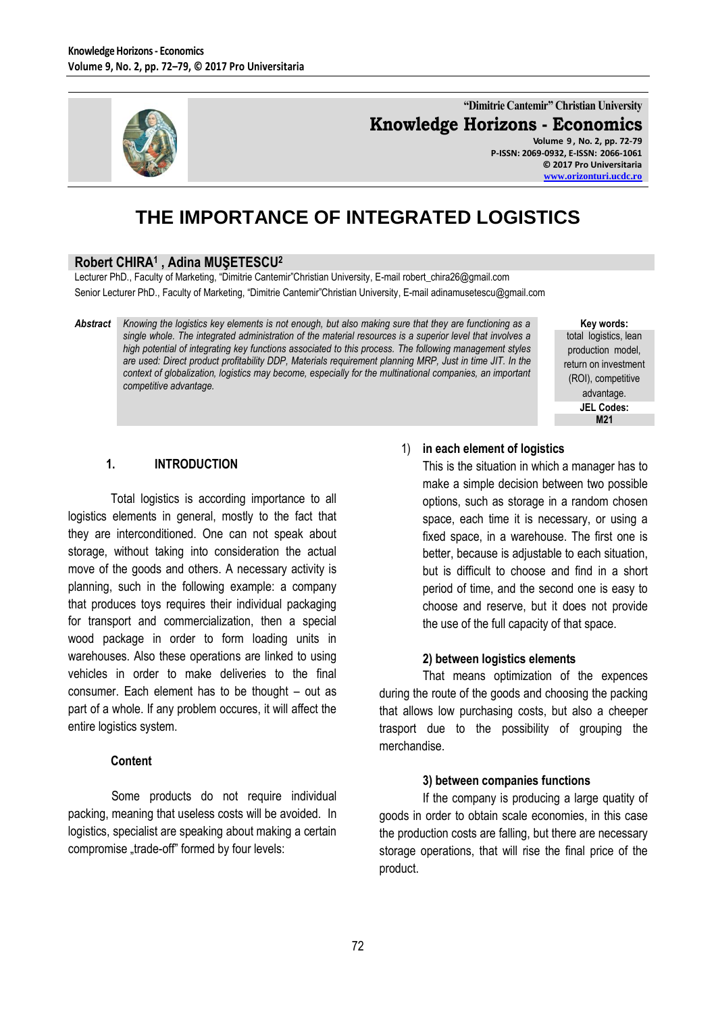

**"Dimitrie Cantemir" Christian University Knowledge Horizons - Economics**

**Volume 9 , No. 2, pp. 72-79 P-ISSN: 2069-0932, E-ISSN: 2066-1061 © 2017 Pro Universitaria [www.orizonturi.ucdc.ro](http://www.orizonturi.ucdc.ro/)**

# **THE IMPORTANCE OF INTEGRATED LOGISTICS**

# **Robert CHIRA<sup>1</sup> , Adina MUŞETESCU<sup>2</sup>**

Lecturer PhD., Faculty of Marketing, "Dimitrie Cantemir"Christian University, E-mail robert\_chira26@gmail.com Senior Lecturer PhD., Faculty of Marketing, "Dimitrie Cantemir"Christian University, E-mail adinamusetescu@gmail.com

*Abstract Knowing the logistics key elements is not enough, but also making sure that they are functioning as a single whole. The integrated administration of the material resources is a superior level that involves a high potential of integrating key functions associated to this process. The following management styles are used: Direct product profitability DDP, Materials requirement planning MRP, Just in time JIT. In the context of globalization, logistics may become, especially for the multinational companies, an important competitive advantage.*

**Key words:**

total logistics, lean production model, return on investment (ROI), competitive advantage. **JEL Codes: M21**

## **1. INTRODUCTION**

Total logistics is according importance to all logistics elements in general, mostly to the fact that they are interconditioned. One can not speak about storage, without taking into consideration the actual move of the goods and others. A necessary activity is planning, such in the following example: a company that produces toys requires their individual packaging for transport and commercialization, then a special wood package in order to form loading units in warehouses. Also these operations are linked to using vehicles in order to make deliveries to the final consumer. Each element has to be thought – out as part of a whole. If any problem occures, it will affect the entire logistics system.

#### **Content**

Some products do not require individual packing, meaning that useless costs will be avoided. In logistics, specialist are speaking about making a certain compromise "trade-off" formed by four levels:

1) **in each element of logistics**

This is the situation in which a manager has to make a simple decision between two possible options, such as storage in a random chosen space, each time it is necessary, or using a fixed space, in a warehouse. The first one is better, because is adjustable to each situation, but is difficult to choose and find in a short period of time, and the second one is easy to choose and reserve, but it does not provide the use of the full capacity of that space.

#### **2) between logistics elements**

That means optimization of the expences during the route of the goods and choosing the packing that allows low purchasing costs, but also a cheeper trasport due to the possibility of grouping the merchandise.

#### **3) between companies functions**

If the company is producing a large quatity of goods in order to obtain scale economies, in this case the production costs are falling, but there are necessary storage operations, that will rise the final price of the product.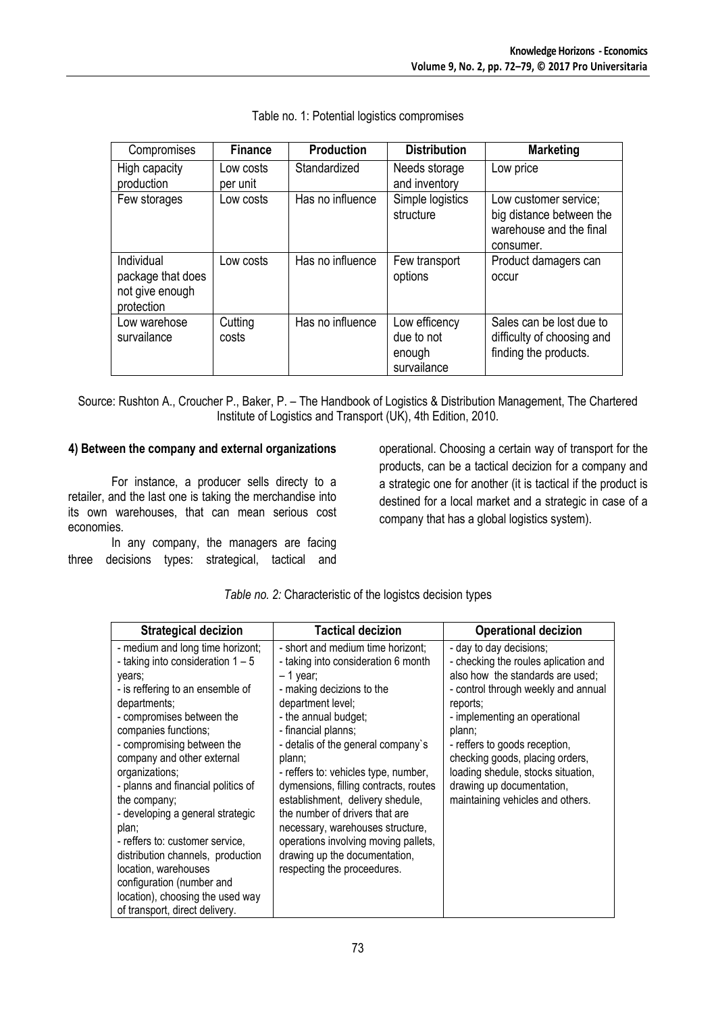| Compromises                                                      | <b>Finance</b>        | <b>Production</b> | <b>Distribution</b>                                  | <b>Marketing</b>                                                                          |
|------------------------------------------------------------------|-----------------------|-------------------|------------------------------------------------------|-------------------------------------------------------------------------------------------|
| High capacity<br>production                                      | Low costs<br>per unit | Standardized      | Needs storage<br>and inventory                       | Low price                                                                                 |
| Few storages                                                     | Low costs             | Has no influence  | Simple logistics<br>structure                        | Low customer service;<br>big distance between the<br>warehouse and the final<br>consumer. |
| Individual<br>package that does<br>not give enough<br>protection | Low costs             | Has no influence  | Few transport<br>options                             | Product damagers can<br>occur                                                             |
| Low warehose<br>survailance                                      | Cutting<br>costs      | Has no influence  | Low efficency<br>due to not<br>enough<br>survailance | Sales can be lost due to<br>difficulty of choosing and<br>finding the products.           |

|  |  |  | Table no. 1: Potential logistics compromises |
|--|--|--|----------------------------------------------|
|--|--|--|----------------------------------------------|

Source: Rushton A., Croucher P., Baker, P. – The Handbook of Logistics & Distribution Management, The Chartered Institute of Logistics and Transport (UK), 4th Edition, 2010.

#### **4) Between the company and external organizations**

For instance, a producer sells directy to a retailer, and the last one is taking the merchandise into its own warehouses, that can mean serious cost economies.

In any company, the managers are facing three decisions types: strategical, tactical and operational. Choosing a certain way of transport for the products, can be a tactical decizion for a company and a strategic one for another (it is tactical if the product is destined for a local market and a strategic in case of a company that has a global logistics system).

| <b>Strategical decizion</b>                                                                                                                                                                                                                                                                                                                                                                                                                                                                                                                                                    | <b>Tactical decizion</b>                                                                                                                                                                                                                                                                                                                                                                                                                                                                                                                  | <b>Operational decizion</b>                                                                                                                                                                                                                                                                                                                                                  |
|--------------------------------------------------------------------------------------------------------------------------------------------------------------------------------------------------------------------------------------------------------------------------------------------------------------------------------------------------------------------------------------------------------------------------------------------------------------------------------------------------------------------------------------------------------------------------------|-------------------------------------------------------------------------------------------------------------------------------------------------------------------------------------------------------------------------------------------------------------------------------------------------------------------------------------------------------------------------------------------------------------------------------------------------------------------------------------------------------------------------------------------|------------------------------------------------------------------------------------------------------------------------------------------------------------------------------------------------------------------------------------------------------------------------------------------------------------------------------------------------------------------------------|
| - medium and long time horizont;<br>- taking into consideration $1 - 5$<br>years;<br>- is reffering to an ensemble of<br>departments:<br>- compromises between the<br>companies functions;<br>- compromising between the<br>company and other external<br>organizations;<br>- planns and financial politics of<br>the company;<br>- developing a general strategic<br>plan;<br>- reffers to: customer service,<br>distribution channels, production<br>location, warehouses<br>configuration (number and<br>location), choosing the used way<br>of transport, direct delivery. | - short and medium time horizont;<br>- taking into consideration 6 month<br>– 1 year;<br>- making decizions to the<br>department level;<br>- the annual budget;<br>- financial planns;<br>- detalis of the general company's<br>plann;<br>- reffers to: vehicles type, number,<br>dymensions, filling contracts, routes<br>establishment, delivery shedule,<br>the number of drivers that are<br>necessary, warehouses structure,<br>operations involving moving pallets,<br>drawing up the documentation,<br>respecting the proceedures. | - day to day decisions:<br>- checking the roules aplication and<br>also how the standards are used;<br>- control through weekly and annual<br>reports:<br>- implementing an operational<br>plann;<br>- reffers to goods reception,<br>checking goods, placing orders,<br>loading shedule, stocks situation,<br>drawing up documentation,<br>maintaining vehicles and others. |

|  |  | Table no. 2: Characteristic of the logistcs decision types |  |  |  |  |
|--|--|------------------------------------------------------------|--|--|--|--|
|--|--|------------------------------------------------------------|--|--|--|--|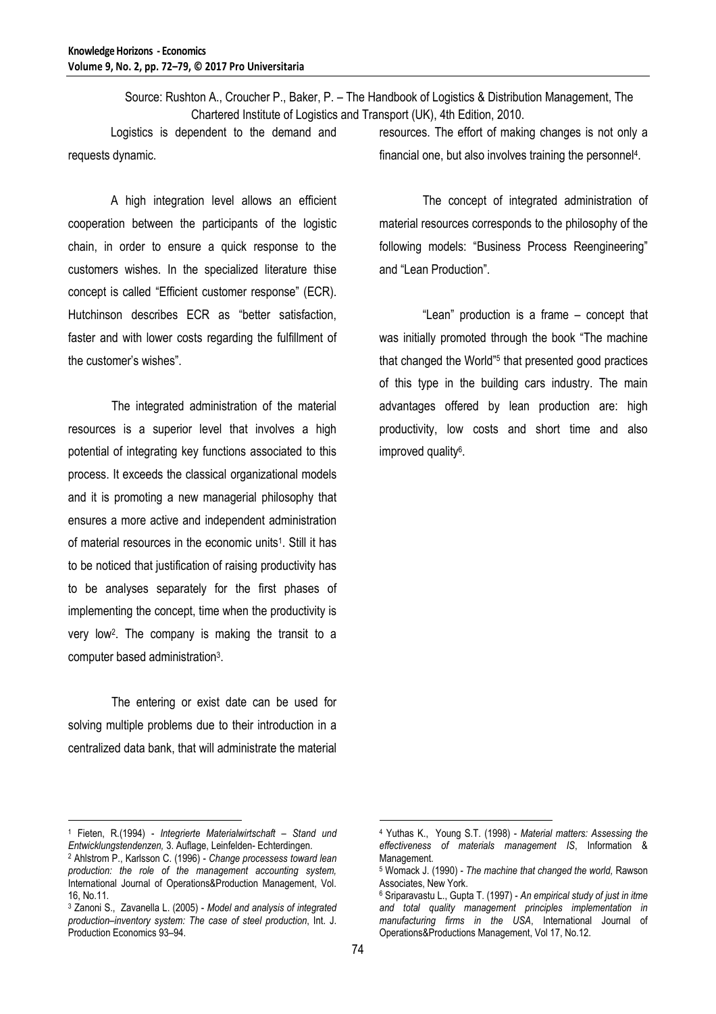Source: Rushton A., Croucher P., Baker, P. – The Handbook of Logistics & Distribution Management, The Chartered Institute of Logistics and Transport (UK), 4th Edition, 2010.

Logistics is dependent to the demand and requests dynamic.

A high integration level allows an efficient cooperation between the participants of the logistic chain, in order to ensure a quick response to the customers wishes. In the specialized literature thise concept is called "Efficient customer response" (ECR). Hutchinson describes ECR as "better satisfaction, faster and with lower costs regarding the fulfillment of the customer's wishes".

The integrated administration of the material resources is a superior level that involves a high potential of integrating key functions associated to this process. It exceeds the classical organizational models and it is promoting a new managerial philosophy that ensures a more active and independent administration of material resources in the economic units<sup>1</sup>. Still it has to be noticed that justification of raising productivity has to be analyses separately for the first phases of implementing the concept, time when the productivity is very low<sup>2</sup> . The company is making the transit to a computer based administration<sup>3</sup>.

The entering or exist date can be used for solving multiple problems due to their introduction in a centralized data bank, that will administrate the material resources. The effort of making changes is not only a financial one, but also involves training the personnel<sup>4</sup>.

The concept of integrated administration of material resources corresponds to the philosophy of the following models: "Business Process Reengineering" and "Lean Production".

"Lean" production is a frame – concept that was initially promoted through the book "The machine that changed the World"<sup>5</sup> that presented good practices of this type in the building cars industry. The main advantages offered by lean production are: high productivity, low costs and short time and also improved quality<sup>6</sup>.

 $\overline{a}$ 

 $\overline{a}$ 

<sup>1</sup> Fieten, R*.*(1994) - *Integrierte Materialwirtschaft – Stand und Entwicklungstendenzen,* 3. Auflage, Leinfelden- Echterdingen.

<sup>2</sup> Ahlstrom P., Karlsson C. (1996) - *Change processess toward lean production: the role of the management accounting system,* International Journal of Operations&Production Management, Vol. 16, No.11.

<sup>3</sup> Zanoni S., Zavanella L. (2005) - *Model and analysis of integrated production–inventory system: The case of steel production*, Int. J. Production Economics 93–94.

<sup>4</sup> Yuthas K., Young S.T. (1998) - *Material matters: Assessing the effectiveness of materials management IS*, Information & Management.

<sup>5</sup> Womack J. (1990) - *The machine that changed the world,* Rawson Associates, New York.

<sup>6</sup> Sriparavastu L., Gupta T. (1997) - *An empirical study of just in itme and total quality management principles implementation in manufacturing firms in the USA*, International Journal of Operations&Productions Management, Vol 17, No.12.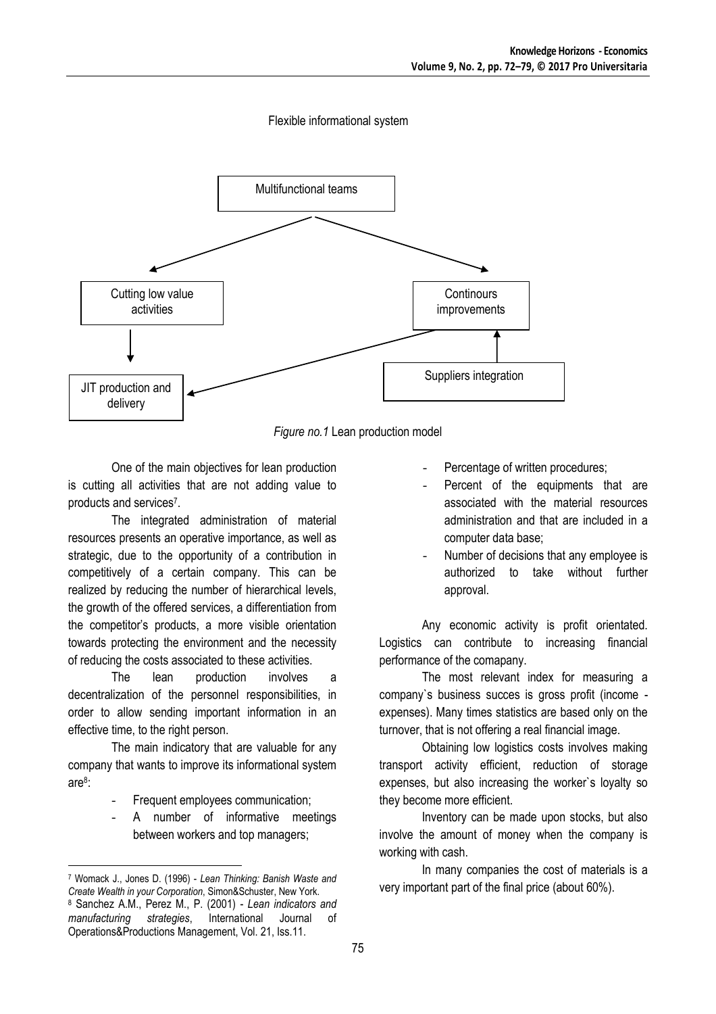#### Flexible informational system



*Figure no.1* Lean production model

One of the main objectives for lean production is cutting all activities that are not adding value to products and services<sup>7</sup>.

The integrated administration of material resources presents an operative importance, as well as strategic, due to the opportunity of a contribution in competitively of a certain company. This can be realized by reducing the number of hierarchical levels, the growth of the offered services, a differentiation from the competitor's products, a more visible orientation towards protecting the environment and the necessity of reducing the costs associated to these activities.

The lean production involves a decentralization of the personnel responsibilities, in order to allow sending important information in an effective time, to the right person.

The main indicatory that are valuable for any company that wants to improve its informational system are<sup>8</sup> :

- Frequent employees communication;
- A number of informative meetings between workers and top managers;

 $\overline{a}$ 

- Percentage of written procedures;
- Percent of the equipments that are associated with the material resources administration and that are included in a computer data base;
- Number of decisions that any employee is authorized to take without further approval.

Any economic activity is profit orientated. Logistics can contribute to increasing financial performance of the comapany.

The most relevant index for measuring a company`s business succes is gross profit (income expenses). Many times statistics are based only on the turnover, that is not offering a real financial image.

Obtaining low logistics costs involves making transport activity efficient, reduction of storage expenses, but also increasing the worker`s loyalty so they become more efficient.

Inventory can be made upon stocks, but also involve the amount of money when the company is working with cash.

In many companies the cost of materials is a very important part of the final price (about 60%).

<sup>7</sup> Womack J., Jones D. (1996) - *Lean Thinking: Banish Waste and Create Wealth in your Corporation*, Simon&Schuster, New York. <sup>8</sup> Sanchez A.M., Perez M., P. (2001) - *Lean indicators and manufacturing strategies*, International Journal of Operations&Productions Management, Vol. 21, Iss.11.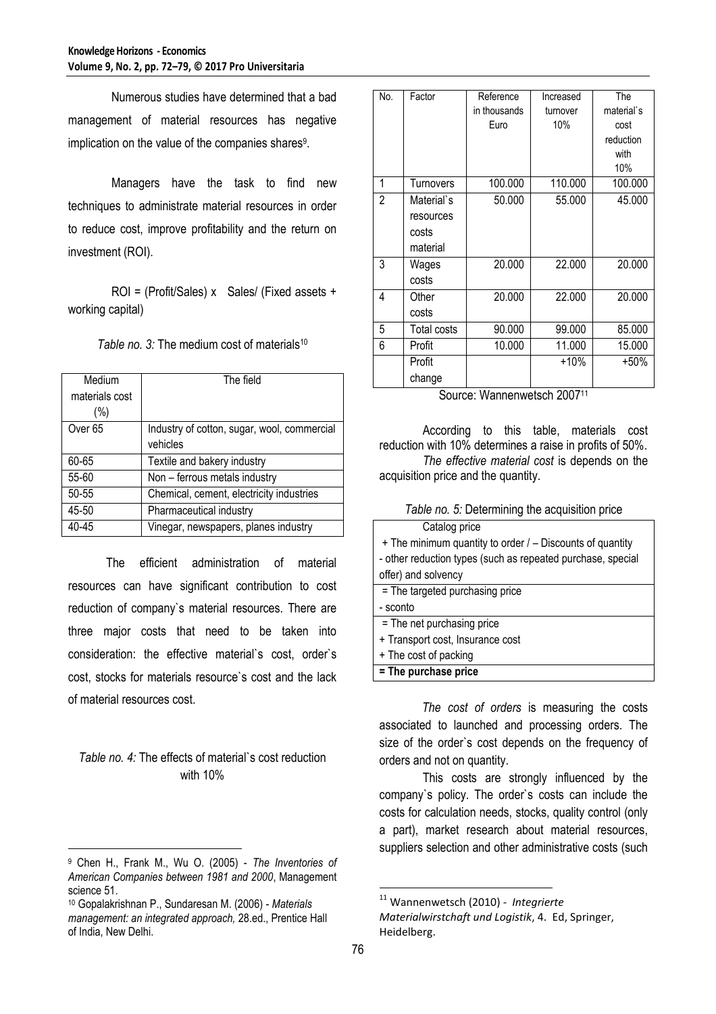Numerous studies have determined that a bad management of material resources has negative implication on the value of the companies shares $^{\rm 9}$ .

Managers have the task to find new techniques to administrate material resources in order to reduce cost, improve profitability and the return on investment (ROI).

ROI = (Profit/Sales) x Sales/ (Fixed assets + working capital)

*Table no. 3:* The medium cost of materials<sup>10</sup>

| Medium             | The field                                   |
|--------------------|---------------------------------------------|
| materials cost     |                                             |
| $(\% )$            |                                             |
| Over <sub>65</sub> | Industry of cotton, sugar, wool, commercial |
|                    | vehicles                                    |
| 60-65              | Textile and bakery industry                 |
| 55-60              | Non - ferrous metals industry               |
| 50-55              | Chemical, cement, electricity industries    |
| 45-50              | Pharmaceutical industry                     |
| 40-45              | Vinegar, newspapers, planes industry        |

The efficient administration of material resources can have significant contribution to cost reduction of company`s material resources. There are three major costs that need to be taken into consideration: the effective material`s cost, order`s cost, stocks for materials resource`s cost and the lack of material resources cost.

## *Table no. 4:* The effects of material`s cost reduction with 10%

 $\overline{a}$ 

| No. | Factor      | Reference    | Increased | The        |
|-----|-------------|--------------|-----------|------------|
|     |             | in thousands | turnover  | material's |
|     |             | Euro         | 10%       | cost       |
|     |             |              |           | reduction  |
|     |             |              |           | with       |
|     |             |              |           | 10%        |
| 1   | Turnovers   | 100.000      | 110.000   | 100.000    |
| 2   | Material's  | 50.000       | 55.000    | 45.000     |
|     | resources   |              |           |            |
|     | costs       |              |           |            |
|     | material    |              |           |            |
| 3   | Wages       | 20.000       | 22.000    | 20.000     |
|     | costs       |              |           |            |
| 4   | Other       | 20.000       | 22.000    | 20.000     |
|     | costs       |              |           |            |
| 5   | Total costs | 90.000       | 99.000    | 85.000     |
| 6   | Profit      | 10.000       | 11.000    | 15.000     |
|     | Profit      |              | $+10\%$   | $+50%$     |
|     | change      |              |           |            |

Source: Wannenwetsch 2007<sup>11</sup>

According to this table, materials cost reduction with 10% determines a raise in profits of 50%. *The effective material cost* is depends on the acquisition price and the quantity.

|  | Table no. 5: Determining the acquisition price |  |
|--|------------------------------------------------|--|
|  |                                                |  |

| Catalog price                                               |
|-------------------------------------------------------------|
| + The minimum quantity to order / - Discounts of quantity   |
| - other reduction types (such as repeated purchase, special |
| offer) and solvency                                         |
| = The targeted purchasing price                             |
| - sconto                                                    |
| = The net purchasing price                                  |
| + Transport cost, Insurance cost                            |
| + The cost of packing                                       |
| = The purchase price                                        |

*The cost of orders* is measuring the costs associated to launched and processing orders. The size of the order`s cost depends on the frequency of orders and not on quantity.

This costs are strongly influenced by the company`s policy. The order`s costs can include the costs for calculation needs, stocks, quality control (only a part), market research about material resources, suppliers selection and other administrative costs (such

 $\overline{a}$ 

<sup>9</sup> Chen H., Frank M., Wu O. (2005) - *The Inventories of American Companies between 1981 and 2000*, Management science 51.

<sup>10</sup> Gopalakrishnan P., Sundaresan M. (2006) - *Materials management: an integrated approach,* 28.ed., Prentice Hall of India, New Delhi.

<sup>11</sup> Wannenwetsch (2010) - *Integrierte Materialwirstchaft und Logistik*, 4. Ed, Springer, Heidelberg.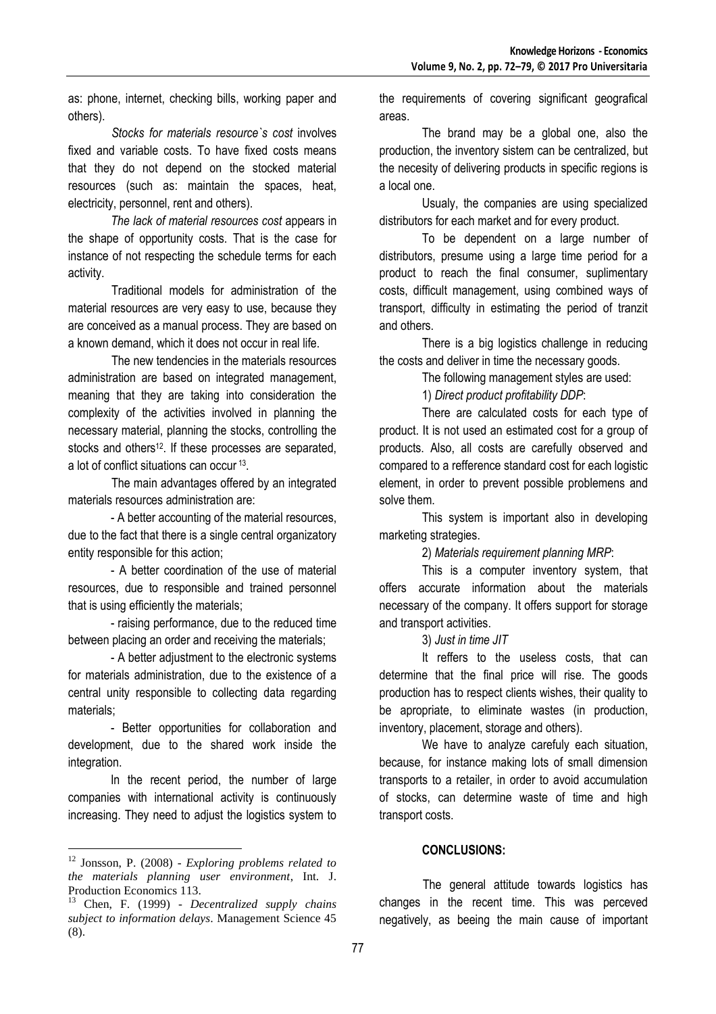as: phone, internet, checking bills, working paper and others).

*Stocks for materials resource`s cost* involves fixed and variable costs. To have fixed costs means that they do not depend on the stocked material resources (such as: maintain the spaces, heat, electricity, personnel, rent and others).

*The lack of material resources cost* appears in the shape of opportunity costs. That is the case for instance of not respecting the schedule terms for each activity.

Traditional models for administration of the material resources are very easy to use, because they are conceived as a manual process. They are based on a known demand, which it does not occur in real life.

The new tendencies in the materials resources administration are based on integrated management, meaning that they are taking into consideration the complexity of the activities involved in planning the necessary material, planning the stocks, controlling the stocks and others<sup>12</sup>. If these processes are separated, a lot of conflict situations can occur <sup>13</sup> .

The main advantages offered by an integrated materials resources administration are:

- A better accounting of the material resources, due to the fact that there is a single central organizatory entity responsible for this action;

- A better coordination of the use of material resources, due to responsible and trained personnel that is using efficiently the materials;

- raising performance, due to the reduced time between placing an order and receiving the materials;

- A better adjustment to the electronic systems for materials administration, due to the existence of a central unity responsible to collecting data regarding materials;

- Better opportunities for collaboration and development, due to the shared work inside the integration.

In the recent period, the number of large companies with international activity is continuously increasing. They need to adjust the logistics system to

 $\overline{a}$ 

the requirements of covering significant geografical areas.

The brand may be a global one, also the production, the inventory sistem can be centralized, but the necesity of delivering products in specific regions is a local one.

Usualy, the companies are using specialized distributors for each market and for every product.

To be dependent on a large number of distributors, presume using a large time period for a product to reach the final consumer, suplimentary costs, difficult management, using combined ways of transport, difficulty in estimating the period of tranzit and others.

There is a big logistics challenge in reducing the costs and deliver in time the necessary goods.

The following management styles are used:

1) *Direct product profitability DDP*:

There are calculated costs for each type of product. It is not used an estimated cost for a group of products. Also, all costs are carefully observed and compared to a refference standard cost for each logistic element, in order to prevent possible problemens and solve them.

This system is important also in developing marketing strategies.

2) *Materials requirement planning MRP*:

This is a computer inventory system, that offers accurate information about the materials necessary of the company. It offers support for storage and transport activities.

3) *Just in time JIT*

It reffers to the useless costs, that can determine that the final price will rise. The goods production has to respect clients wishes, their quality to be apropriate, to eliminate wastes (in production, inventory, placement, storage and others).

We have to analyze carefuly each situation, because, for instance making lots of small dimension transports to a retailer, in order to avoid accumulation of stocks, can determine waste of time and high transport costs.

## **CONCLUSIONS:**

The general attitude towards logistics has changes in the recent time. This was perceved negatively, as beeing the main cause of important

<sup>12</sup> Jonsson, P. (2008) - *Exploring problems related to the materials planning user environment*, Int. J. Production Economics 113.

<sup>13</sup> Chen, F. (1999) - *Decentralized supply chains subject to information delays*. Management Science 45 (8).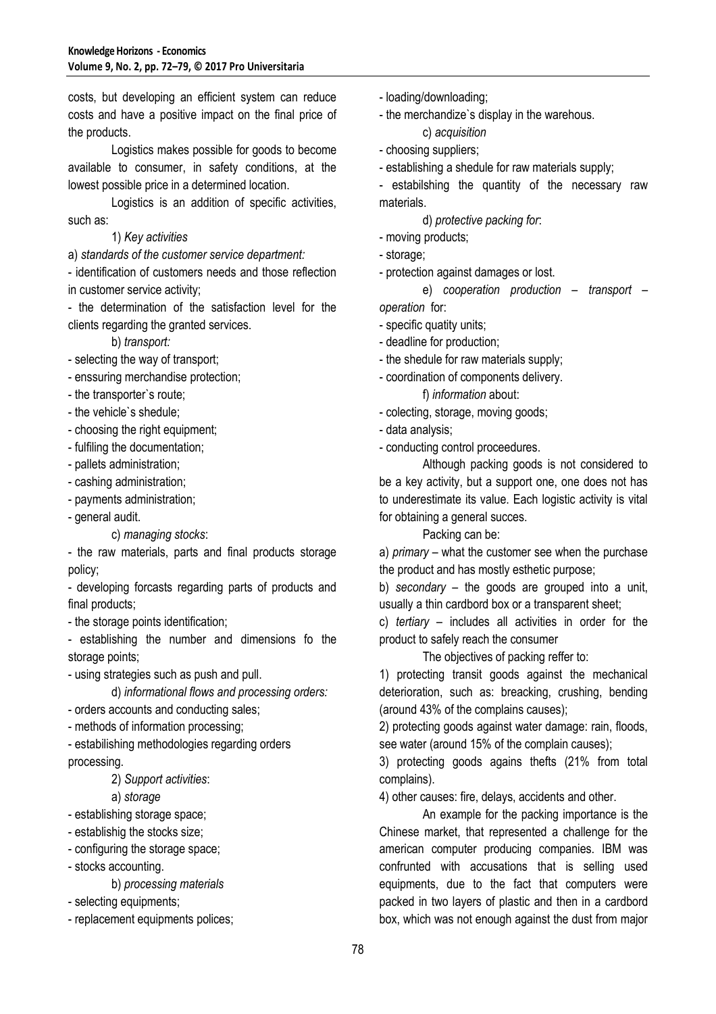costs, but developing an efficient system can reduce costs and have a positive impact on the final price of the products.

Logistics makes possible for goods to become available to consumer, in safety conditions, at the lowest possible price in a determined location.

Logistics is an addition of specific activities, such as:

#### 1) *Key activities*

a) *standards of the customer service department:*

- identification of customers needs and those reflection in customer service activity;

- the determination of the satisfaction level for the clients regarding the granted services.

b) *transport:*

- selecting the way of transport;
- enssuring merchandise protection;
- the transporter`s route;
- the vehicle`s shedule;
- choosing the right equipment;
- fulfiling the documentation;
- pallets administration;
- cashing administration;
- payments administration;
- general audit.

#### c) *managing stocks*:

- the raw materials, parts and final products storage policy;

- developing forcasts regarding parts of products and final products;

- the storage points identification;

- establishing the number and dimensions fo the storage points;

- using strategies such as push and pull.

d) *informational flows and processing orders:*

- orders accounts and conducting sales;

- methods of information processing;

- estabilishing methodologies regarding orders processing.

2) *Support activities*:

## a) *storage*

- establishing storage space;

- establishig the stocks size;

- configuring the storage space;
- stocks accounting.
	- b) *processing materials*
- selecting equipments;
- replacement equipments polices;
- loading/downloading;
- the merchandize`s display in the warehous. c) *acquisition*
- choosing suppliers;
- establishing a shedule for raw materials supply;

- estabilshing the quantity of the necessary raw materials.

d) *protective packing for*:

- moving products;
- storage;

- protection against damages or lost.

e) *cooperation production – transport – operation* for:

- specific quatity units;
- deadline for production;
- the shedule for raw materials supply;
- coordination of components delivery.
	- f) *information* about:
- colecting, storage, moving goods;
- data analysis;

- conducting control proceedures.

Although packing goods is not considered to be a key activity, but a support one, one does not has to underestimate its value. Each logistic activity is vital for obtaining a general succes.

Packing can be:

a) *primary –* what the customer see when the purchase the product and has mostly esthetic purpose;

b) *secondary –* the goods are grouped into a unit, usually a thin cardbord box or a transparent sheet;

c) *tertiary –* includes all activities in order for the product to safely reach the consumer

The objectives of packing reffer to:

1) protecting transit goods against the mechanical deterioration, such as: breacking, crushing, bending (around 43% of the complains causes);

2) protecting goods against water damage: rain, floods, see water (around 15% of the complain causes);

3) protecting goods agains thefts (21% from total complains).

4) other causes: fire, delays, accidents and other.

An example for the packing importance is the Chinese market, that represented a challenge for the american computer producing companies. IBM was confrunted with accusations that is selling used equipments, due to the fact that computers were packed in two layers of plastic and then in a cardbord box, which was not enough against the dust from major